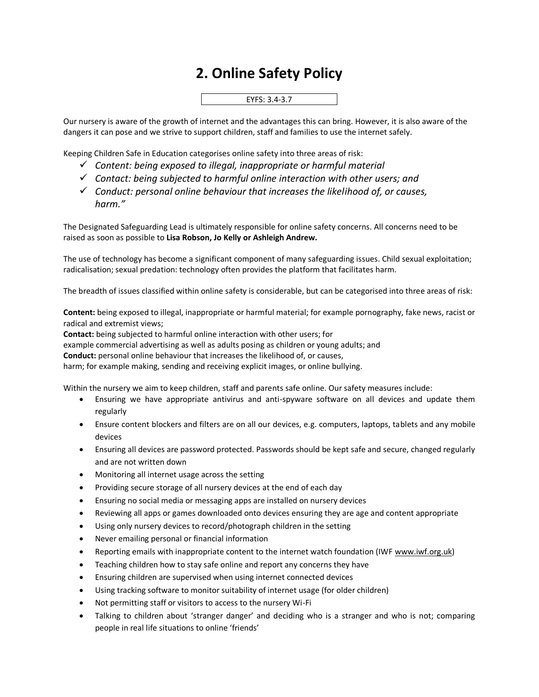## **2. Online Safety Policy**

## EYFS: 3.4-3.7

Our nursery is aware of the growth of internet and the advantages this can bring. However, it is also aware of the dangers it can pose and we strive to support children, staff and families to use the internet safely.

Keeping Children Safe in Education categorises online safety into three areas of risk:

- ✓ *Content: being exposed to illegal, inappropriate or harmful material*
- ✓ *Contact: being subjected to harmful online interaction with other users; and*
- ✓ *Conduct: personal online behaviour that increases the likelihood of, or causes, harm."*

The Designated Safeguarding Lead is ultimately responsible for online safety concerns. All concerns need to be raised as soon as possible to **Lisa Robson, Jo Kelly or Ashleigh Andrew.**

The use of technology has become a significant component of many safeguarding issues. Child sexual exploitation; radicalisation; sexual predation: technology often provides the platform that facilitates harm.

The breadth of issues classified within online safety is considerable, but can be categorised into three areas of risk:

**Content:** being exposed to illegal, inappropriate or harmful material; for example pornography, fake news, racist or radical and extremist views;

**Contact:** being subjected to harmful online interaction with other users; for

example commercial advertising as well as adults posing as children or young adults; and

**Conduct:** personal online behaviour that increases the likelihood of, or causes,

harm; for example making, sending and receiving explicit images, or online bullying.

Within the nursery we aim to keep children, staff and parents safe online. Our safety measures include:

- Ensuring we have appropriate antivirus and anti-spyware software on all devices and update them regularly
- Ensure content blockers and filters are on all our devices, e.g. computers, laptops, tablets and any mobile devices
- Ensuring all devices are password protected. Passwords should be kept safe and secure, changed regularly and are not written down
- Monitoring all internet usage across the setting
- Providing secure storage of all nursery devices at the end of each day
- Ensuring no social media or messaging apps are installed on nursery devices
- Reviewing all apps or games downloaded onto devices ensuring they are age and content appropriate
- Using only nursery devices to record/photograph children in the setting
- Never emailing personal or financial information
- Reporting emails with inappropriate content to the internet watch foundation (IWF www.iwf.org.uk)
- Teaching children how to stay safe online and report any concerns they have
- Ensuring children are supervised when using internet connected devices
- Using tracking software to monitor suitability of internet usage (for older children)
- Not permitting staff or visitors to access to the nursery Wi-Fi
- Talking to children about 'stranger danger' and deciding who is a stranger and who is not; comparing people in real life situations to online 'friends'